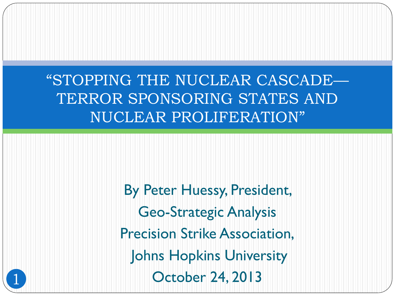"STOPPING THE NUCLEAR CASCADE— TERROR SPONSORING STATES AND NUCLEAR PROLIFERATION"

> By Peter Huessy, President, Geo-Strategic Analysis Precision Strike Association, Johns Hopkins University **October 24, 2013**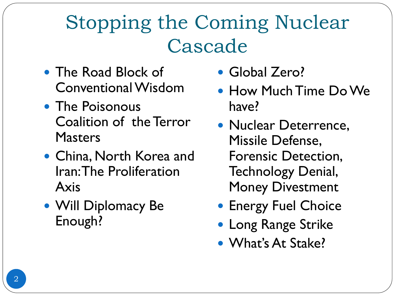### Stopping the Coming Nuclear Cascade

- The Road Block of Conventional Wisdom
- The Poisonous Coalition of the Terror **Masters**
- China, North Korea and Iran: The Proliferation Axis
- Will Diplomacy Be Enough?
- Global Zero?
- How Much Time Do We have?
- Nuclear Deterrence, Missile Defense, Forensic Detection, Technology Denial, Money Divestment
- **Energy Fuel Choice**
- **Long Range Strike**
- What's At Stake?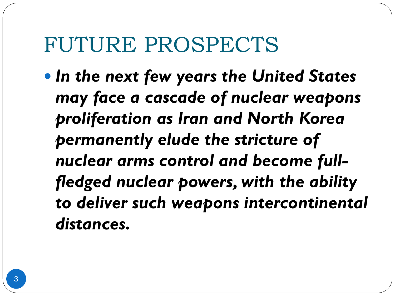#### FUTURE PROSPECTS

 *In the next few years the United States may face a cascade of nuclear weapons proliferation as Iran and North Korea permanently elude the stricture of nuclear arms control and become fullfledged nuclear powers, with the ability to deliver such weapons intercontinental distances.*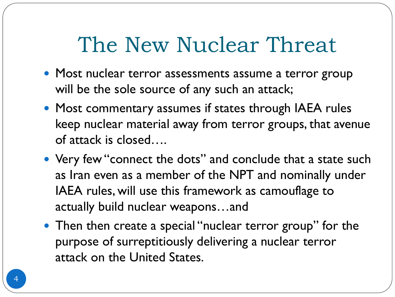## The New Nuclear Threat

- Most nuclear terror assessments assume a terror group will be the sole source of any such an attack;
- Most commentary assumes if states through IAEA rules keep nuclear material away from terror groups, that avenue of attack is closed….
- Very few "connect the dots" and conclude that a state such as Iran even as a member of the NPT and nominally under IAEA rules, will use this framework as camouflage to actually build nuclear weapons…and
- Then then create a special "nuclear terror group" for the purpose of surreptitiously delivering a nuclear terror attack on the United States.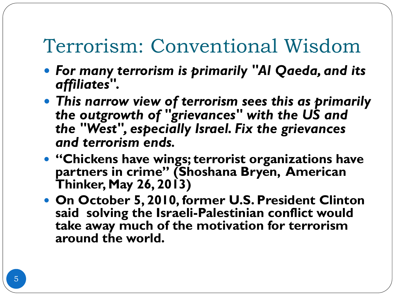#### Terrorism: Conventional Wisdom

- *For many terrorism is primarily "Al Qaeda, and its affiliates".*
- *This narrow view of terrorism sees this as primarily the outgrowth of "grievances" with the US and the "West", especially Israel. Fix the grievances and terrorism ends.*
- **"Chickens have wings; terrorist organizations have partners in crime" (Shoshana Bryen, American Thinker, May 26, 2013)**
- **On October 5, 2010, former U.S. President Clinton said solving the Israeli-Palestinian conflict would take away much of the motivation for terrorism around the world.**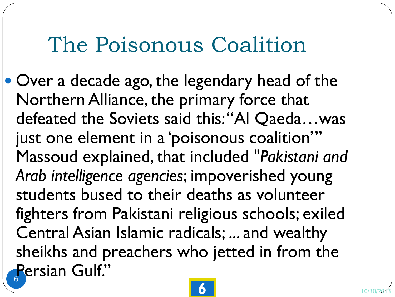## The Poisonous Coalition

Persian Gulf." • Over a decade ago, the legendary head of the Northern Alliance, the primary force that defeated the Soviets said this: "Al Qaeda…was just one element in a 'poisonous coalition'" Massoud explained, that included "*Pakistani and Arab intelligence agencies*; impoverished young students bused to their deaths as volunteer fighters from Pakistani religious schools; exiled Central Asian Islamic radicals; ... and wealthy sheikhs and preachers who jetted in from the

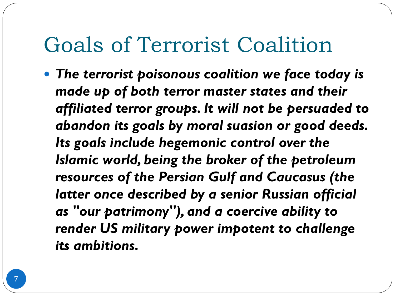#### Goals of Terrorist Coalition

 *The terrorist poisonous coalition we face today is made up of both terror master states and their affiliated terror groups. It will not be persuaded to abandon its goals by moral suasion or good deeds. Its goals include hegemonic control over the Islamic world, being the broker of the petroleum resources of the Persian Gulf and Caucasus (the latter once described by a senior Russian official as "our patrimony"), and a coercive ability to render US military power impotent to challenge its ambitions.*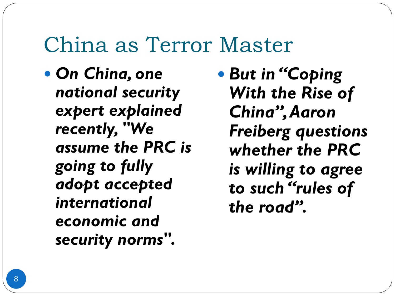#### China as Terror Master

 *On China, one national security expert explained recently, "We assume the PRC is going to fully adopt accepted international economic and security norms".* 

 *But in "Coping With the Rise of China", Aaron Freiberg questions whether the PRC is willing to agree to such "rules of the road".*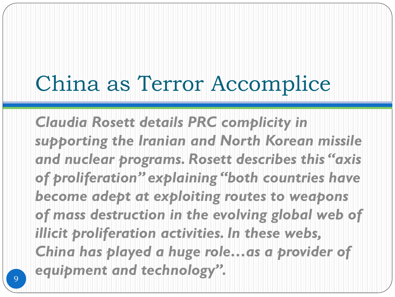## China as Terror Accomplice

*Claudia Rosett details PRC complicity in supporting the Iranian and North Korean missile and nuclear programs. Rosett describes this "axis of proliferation" explaining "both countries have become adept at exploiting routes to weapons of mass destruction in the evolving global web of illicit proliferation activities. In these webs, China has played a huge role…as a provider of equipment and technology".*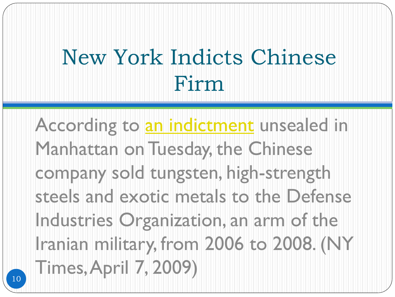# New York Indicts Chinese Firm

According to [an indictment](http://graphics8.nytimes.com/packages/pdf/nyregion/08INDICT.pdf) unsealed in Manhattan on Tuesday, the Chinese company sold tungsten, high-strength steels and exotic metals to the Defense Industries Organization, an arm of the Iranian military, from 2006 to 2008. (NY Times, April 7, 2009)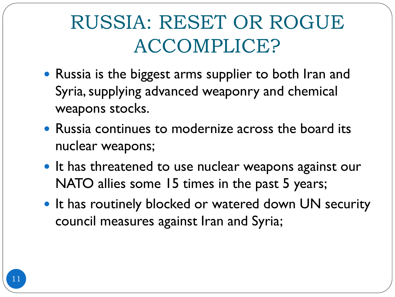## RUSSIA: RESET OR ROGUE ACCOMPLICE?

- Russia is the biggest arms supplier to both Iran and Syria, supplying advanced weaponry and chemical weapons stocks.
- Russia continues to modernize across the board its nuclear weapons;
- It has threatened to use nuclear weapons against our NATO allies some 15 times in the past 5 years;
- It has routinely blocked or watered down UN security council measures against Iran and Syria;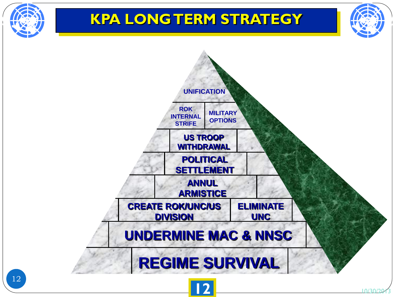

#### **KPA LONG TERM STRATEGY**

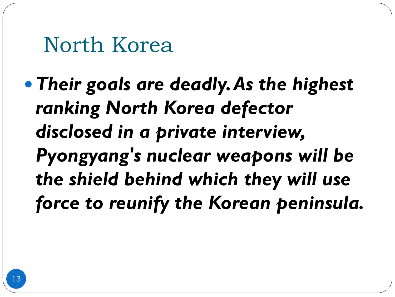#### North Korea

*Their goals are deadly. As the highest ranking North Korea defector disclosed in a private interview, Pyongyang's nuclear weapons will be the shield behind which they will use force to reunify the Korean peninsula.*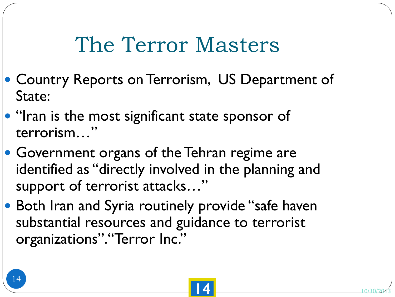## The Terror Masters

- Country Reports on Terrorism, US Department of State:
- "Iran is the most significant state sponsor of terrorism…"
- Government organs of the Tehran regime are identified as "directly involved in the planning and support of terrorist attacks…"
- Both Iran and Syria routinely provide "safe haven substantial resources and guidance to terrorist organizations"."Terror Inc."

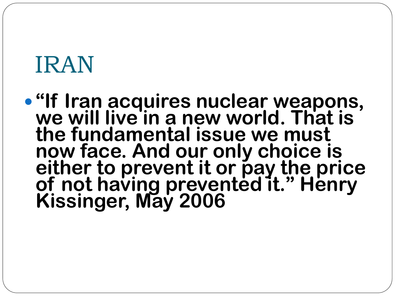## IRAN

 **"If Iran acquires nuclear weapons, we will live in a new world. That is the fundamental issue we must now face. And our only choice is either to prevent it or pay the price of not having prevented it." Henry Kissinger, May 2006**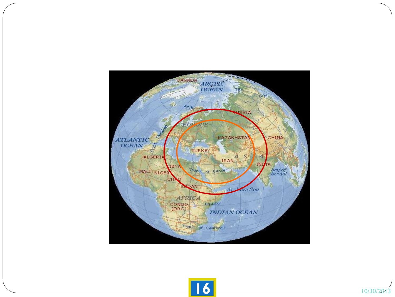

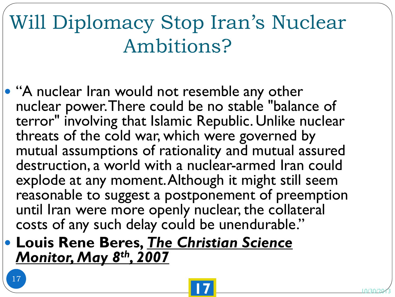## Will Diplomacy Stop Iran's Nuclear Ambitions?

- "A nuclear Iran would not resemble any other nuclear power. There could be no stable "balance of terror" involving that Islamic Republic. Unlike nuclear threats of the cold war, which were governed by mutual assumptions of rationality and mutual assured destruction, a world with a nuclear-armed Iran could explode at any moment. Although it might still seem reasonable to suggest a postponement of preemption until Iran were more openly nuclear, the collateral costs of any such delay could be unendurable."
- **Louis Rene Beres,** *The Christian Science Monitor, May 8th, 2007*

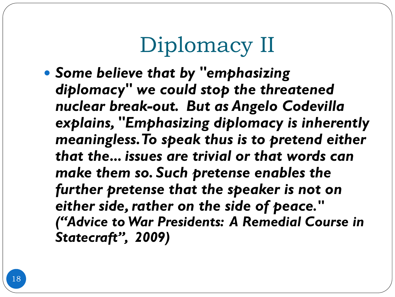# Diplomacy II

 *Some believe that by "emphasizing diplomacy" we could stop the threatened nuclear break-out. But as Angelo Codevilla explains, "Emphasizing diplomacy is inherently meaningless. To speak thus is to pretend either that the... issues are trivial or that words can make them so. Such pretense enables the further pretense that the speaker is not on either side, rather on the side of peace." ("Advice to War Presidents: A Remedial Course in Statecraft", 2009)*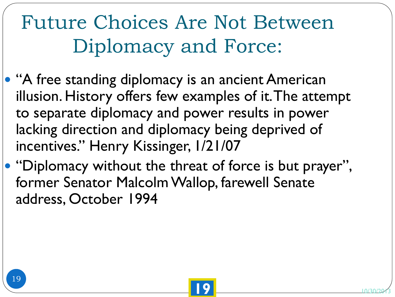## Future Choices Are Not Between Diplomacy and Force:

- "A free standing diplomacy is an ancient American illusion. History offers few examples of it. The attempt to separate diplomacy and power results in power lacking direction and diplomacy being deprived of incentives." Henry Kissinger, 1/21/07
- "Diplomacy without the threat of force is but prayer", former Senator Malcolm Wallop, farewell Senate address, October 1994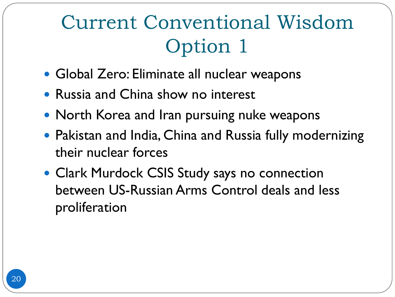## Current Conventional Wisdom Option 1

- Global Zero: Eliminate all nuclear weapons
- Russia and China show no interest
- North Korea and Iran pursuing nuke weapons
- Pakistan and India, China and Russia fully modernizing their nuclear forces
- Clark Murdock CSIS Study says no connection between US-Russian Arms Control deals and less proliferation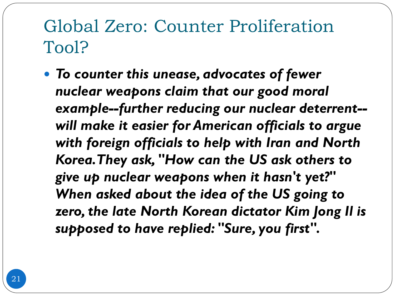#### Global Zero: Counter Proliferation Tool?

 *To counter this unease, advocates of fewer nuclear weapons claim that our good moral example--further reducing our nuclear deterrent- will make it easier for American officials to argue with foreign officials to help with Iran and North Korea. They ask, "How can the US ask others to give up nuclear weapons when it hasn't yet?" When asked about the idea of the US going to zero, the late North Korean dictator Kim Jong Il is supposed to have replied: "Sure, you first".*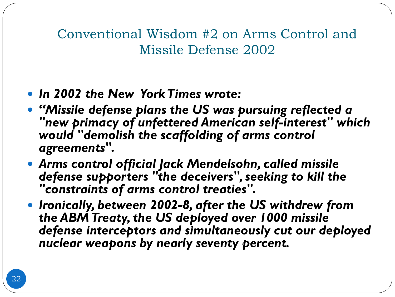Conventional Wisdom #2 on Arms Control and Missile Defense 2002

- *In 2002 the New York Times wrote:*
- *"Missile defense plans the US was pursuing reflected a "new primacy of unfettered American self-interest" which would "demolish the scaffolding of arms control agreements".*
- *Arms control official Jack Mendelsohn, called missile defense supporters "the deceivers", seeking to kill the "constraints of arms control treaties".*
- *Ironically, between 2002-8, after the US withdrew from the ABM Treaty, the US deployed over 1000 missile defense interceptors and simultaneously cut our deployed nuclear weapons by nearly seventy percent.*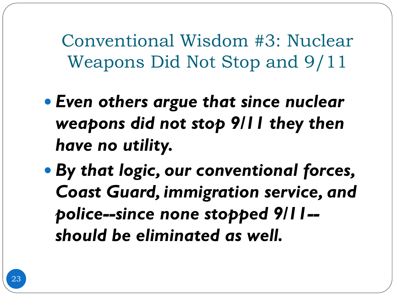Conventional Wisdom #3: Nuclear Weapons Did Not Stop and 9/11

- *Even others argue that since nuclear weapons did not stop 9/11 they then have no utility.*
- *By that logic, our conventional forces, Coast Guard, immigration service, and police--since none stopped 9/11- should be eliminated as well.*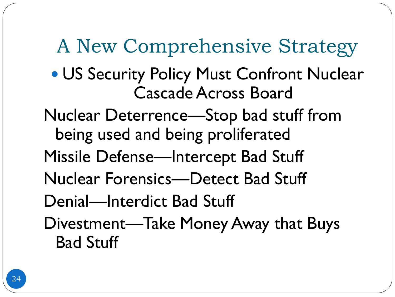#### A New Comprehensive Strategy US Security Policy Must Confront Nuclear Cascade Across Board Nuclear Deterrence—Stop bad stuff from being used and being proliferated Missile Defense—Intercept Bad Stuff Nuclear Forensics—Detect Bad Stuff Denial—Interdict Bad Stuff Divestment—Take Money Away that Buys Bad Stuff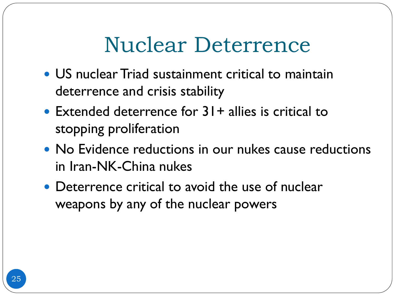## Nuclear Deterrence

- US nuclear Triad sustainment critical to maintain deterrence and crisis stability
- Extended deterrence for  $31+$  allies is critical to stopping proliferation
- No Evidence reductions in our nukes cause reductions in Iran-NK-China nukes
- Deterrence critical to avoid the use of nuclear weapons by any of the nuclear powers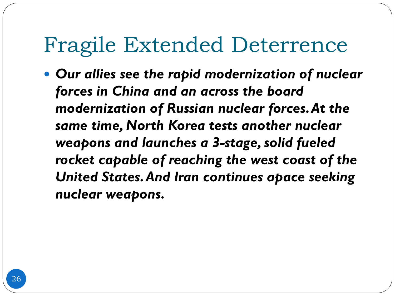#### Fragile Extended Deterrence

 *Our allies see the rapid modernization of nuclear forces in China and an across the board modernization of Russian nuclear forces. At the same time, North Korea tests another nuclear weapons and launches a 3-stage, solid fueled rocket capable of reaching the west coast of the United States. And Iran continues apace seeking nuclear weapons.*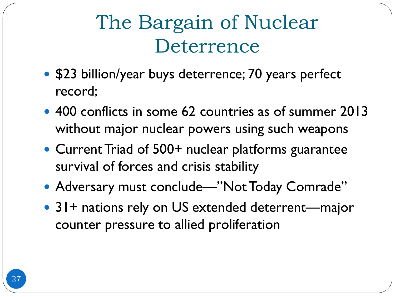## The Bargain of Nuclear Deterrence

- \$23 billion/year buys deterrence; 70 years perfect record;
- 400 conflicts in some 62 countries as of summer 2013 without major nuclear powers using such weapons
- Current Triad of 500+ nuclear platforms guarantee survival of forces and crisis stability
- Adversary must conclude—"Not Today Comrade"
- 31+ nations rely on US extended deterrent—major counter pressure to allied proliferation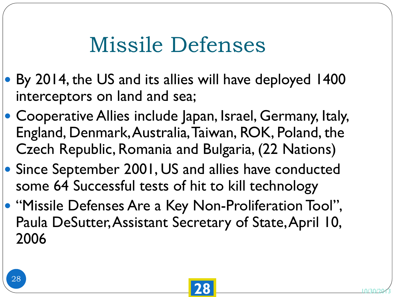## Missile Defenses

- By 2014, the US and its allies will have deployed 1400 interceptors on land and sea;
- Cooperative Allies include Japan, Israel, Germany, Italy, England, Denmark, Australia, Taiwan, ROK, Poland, the Czech Republic, Romania and Bulgaria, (22 Nations)
- Since September 2001, US and allies have conducted some 64 Successful tests of hit to kill technology
- "Missile Defenses Are a Key Non-Proliferation Tool", Paula DeSutter, Assistant Secretary of State, April 10, 2006

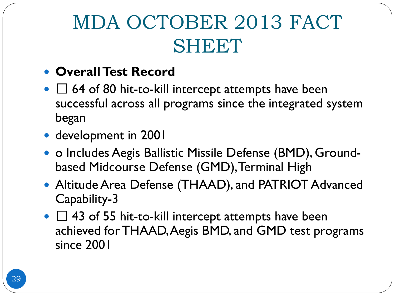### MDA OCTOBER 2013 FACT **SHEET**

#### **Overall Test Record**

- $\bullet$   $\Box$  64 of 80 hit-to-kill intercept attempts have been successful across all programs since the integrated system began
- development in 2001
- o Includes Aegis Ballistic Missile Defense (BMD), Groundbased Midcourse Defense (GMD), Terminal High
- Altitude Area Defense (THAAD), and PATRIOT Advanced Capability-3
- $\bullet$   $\Box$  43 of 55 hit-to-kill intercept attempts have been achieved for THAAD, Aegis BMD, and GMD test programs since 2001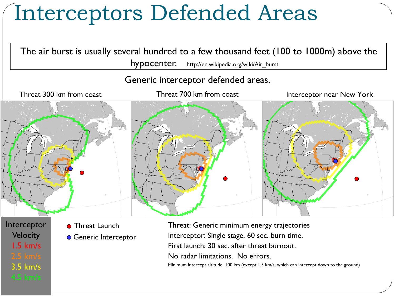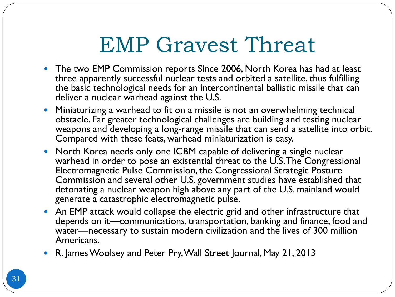## EMP Gravest Threat

- The two EMP Commission reports Since 2006, North Korea has had at least three apparently successful nuclear tests and orbited a satellite, thus fulfilling the basic technological needs for an intercontinental ballistic missile that can deliver a nuclear warhead against the U.S.
- Miniaturizing a warhead to fit on a missile is not an overwhelming technical obstacle. Far greater technological challenges are building and testing nuclear weapons and developing a long-range missile that can send a satellite into orbit. Compared with these feats, warhead miniaturization is easy.
- North Korea needs only one ICBM capable of delivering a single nuclear warhead in order to pose an existential threat to the U.S. The Congressional Electromagnetic Pulse Commission, the Congressional Strategic Posture Commission and several other U.S. government studies have established that detonating a nuclear weapon high above any part of the U.S. mainland would generate a catastrophic electromagnetic pulse.
- An EMP attack would collapse the electric grid and other infrastructure that depends on it—communications, transportation, banking and finance, food and water—necessary to sustain modern civilization and the lives of 300 million Americans.
- R. James Woolsey and Peter Pry, Wall Street Journal, May 21, 2013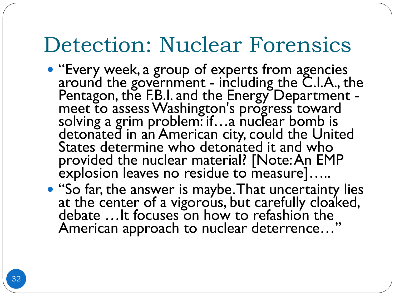#### Detection: Nuclear Forensics

- "Every week, a group of experts from agencies around the government - including the C.I.A., the Pentagon, the F.B.I. and the Energy Department meet to assess Washington's progress toward solving a grim problem: if...a nuclear bomb is detonated in an American city, could the United States determine who detonated it and who provided the nuclear material? [Note:An EMP explosion leaves no residue to measure]…..
- "So far, the answer is maybe. That uncertainty lies at the center of a vigorous, but carefully cloaked, debate …It focuses on how to refashion the American approach to nuclear deterrence…"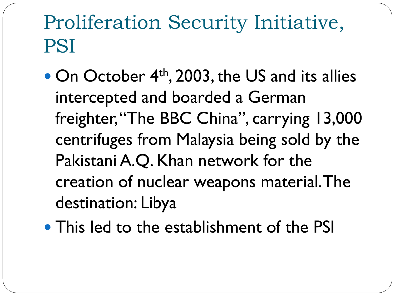#### Proliferation Security Initiative, PSI

• On October 4<sup>th</sup>, 2003, the US and its allies intercepted and boarded a German freighter, "The BBC China", carrying 13,000 centrifuges from Malaysia being sold by the Pakistani A.Q. Khan network for the creation of nuclear weapons material. The destination: Libya

• This led to the establishment of the PSI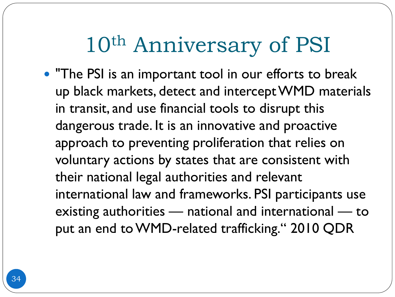## 10<sup>th</sup> Anniversary of PSI

• "The PSI is an important tool in our efforts to break up black markets, detect and intercept WMD materials in transit, and use financial tools to disrupt this dangerous trade. It is an innovative and proactive approach to preventing proliferation that relies on voluntary actions by states that are consistent with their national legal authorities and relevant international law and frameworks. PSI participants use existing authorities — national and international — to put an end to WMD-related trafficking." 2010 QDR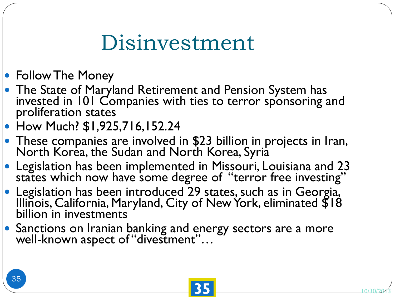## Disinvestment

- Follow The Money
- The State of Maryland Retirement and Pension System has invested in 101 Companies with ties to terror sponsoring and proliferation states
- How Much? \$1,925,716,152.24
- These companies are involved in \$23 billion in projects in Iran, North Korea, the Sudan and North Korea, Syria
- Legislation has been implemented in Missouri, Louisiana and 23 states which now have some degree of "terror free investing"
- Legislation has been introduced 29 states, such as in Georgia, Illinois, California, Maryland, City of New York, eliminated \$18 billion in investments
- Sanctions on Iranian banking and energy sectors are a more well-known aspect of "divestment"…

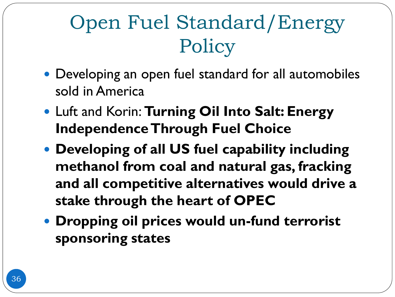## Open Fuel Standard/Energy **Policy**

- Developing an open fuel standard for all automobiles sold in America
- Luft and Korin: **Turning Oil Into Salt: Energy Independence Through Fuel Choice**
- **Developing of all US fuel capability including methanol from coal and natural gas, fracking and all competitive alternatives would drive a stake through the heart of OPEC**
- **Dropping oil prices would un-fund terrorist sponsoring states**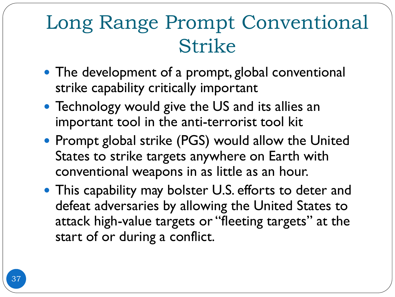#### Long Range Prompt Conventional Strike

- The development of a prompt, global conventional strike capability critically important
- Technology would give the US and its allies an important tool in the anti-terrorist tool kit
- Prompt global strike (PGS) would allow the United States to strike targets anywhere on Earth with conventional weapons in as little as an hour.
- This capability may bolster U.S. efforts to deter and defeat adversaries by allowing the United States to attack high-value targets or "fleeting targets" at the start of or during a conflict.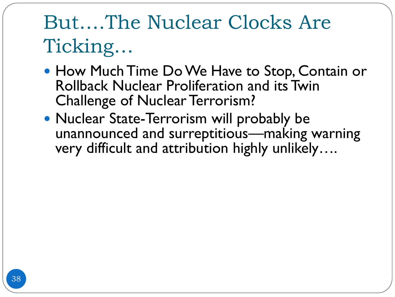## But….The Nuclear Clocks Are Ticking…

- How Much Time Do We Have to Stop, Contain or Rollback Nuclear Proliferation and its Twin Challenge of Nuclear Terrorism?
- Nuclear State-Terrorism will probably be unannounced and surreptitious—making warning very difficult and attribution highly unlikely….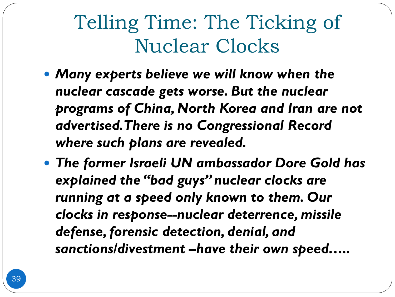### Telling Time: The Ticking of Nuclear Clocks

- *Many experts believe we will know when the nuclear cascade gets worse. But the nuclear programs of China, North Korea and Iran are not advertised. There is no Congressional Record where such plans are revealed.*
- *The former Israeli UN ambassador Dore Gold has explained the "bad guys" nuclear clocks are running at a speed only known to them. Our clocks in response--nuclear deterrence, missile defense, forensic detection, denial, and sanctions/divestment –have their own speed…..*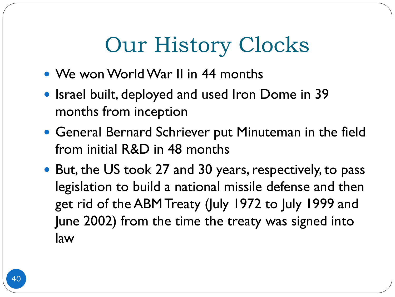## Our History Clocks

- We won World War II in 44 months
- Israel built, deployed and used Iron Dome in 39 months from inception
- General Bernard Schriever put Minuteman in the field from initial R&D in 48 months
- But, the US took 27 and 30 years, respectively, to pass legislation to build a national missile defense and then get rid of the ABM Treaty (July 1972 to July 1999 and June 2002) from the time the treaty was signed into law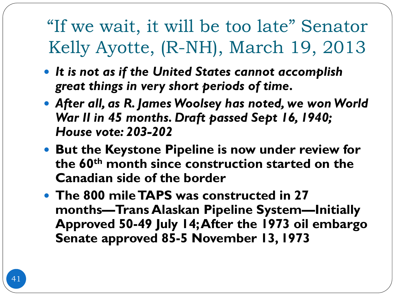#### "If we wait, it will be too late" Senator Kelly Ayotte, (R-NH), March 19, 2013

- *It is not as if the United States cannot accomplish great things in very short periods of time.*
- *After all, as R. James Woolsey has noted, we won World War II in 45 months. Draft passed Sept 16, 1940; House vote: 203-202*
- **But the Keystone Pipeline is now under review for the 60th month since construction started on the Canadian side of the border**
- **The 800 mile TAPS was constructed in 27 months—Trans Alaskan Pipeline System—Initially Approved 50-49 July 14; After the 1973 oil embargo Senate approved 85-5 November 13, 1973**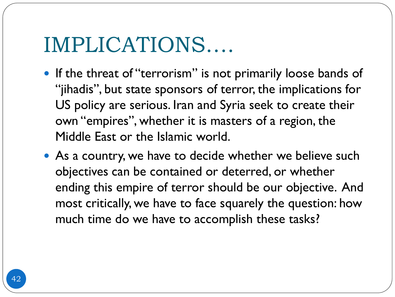#### IMPLICATIONS….

- If the threat of "terrorism" is not primarily loose bands of "jihadis", but state sponsors of terror, the implications for US policy are serious. Iran and Syria seek to create their own "empires", whether it is masters of a region, the Middle East or the Islamic world.
- As a country, we have to decide whether we believe such objectives can be contained or deterred, or whether ending this empire of terror should be our objective. And most critically, we have to face squarely the question: how much time do we have to accomplish these tasks?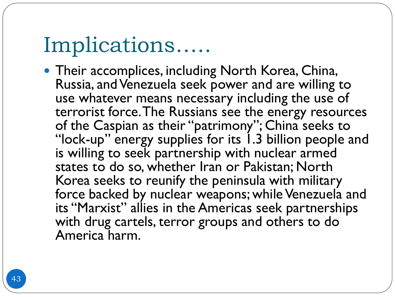## Implications…..

**• Their accomplices, including North Korea, China,** Russia, and Venezuela seek power and are willing to use whatever means necessary including the use of terrorist force. The Russians see the energy resources of the Caspian as their "patrimony"; China seeks to "lock-up" energy supplies for its 1.3 billion people and is willing to seek partnership with nuclear armed states to do so, whether Iran or Pakistan; North Korea seeks to reunify the peninsula with military force backed by nuclear weapons; while Venezuela and its "Marxist" allies in the Americas seek partnerships with drug cartels, terror groups and others to do America harm.